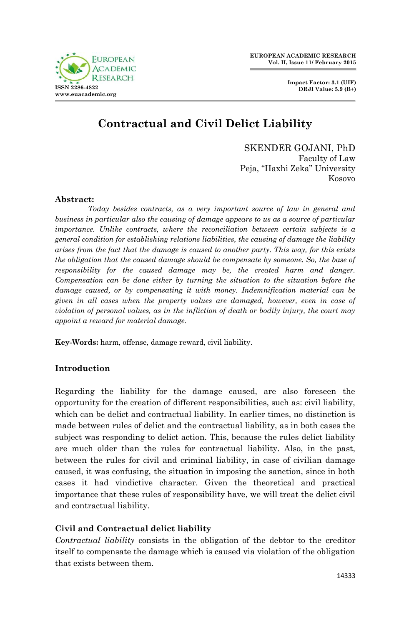

**Impact Factor: 3.1 (UIF) DRJI Value: 5.9 (B+)**

# **Contractual and Civil Delict Liability**

SKENDER GOJANI, PhD Faculty of Law Peja, "Haxhi Zeka" University Kosovo

## **Abstract:**

*Today besides contracts, as a very important source of law in general and business in particular also the causing of damage appears to us as a source of particular importance. Unlike contracts, where the reconciliation between certain subjects is a general condition for establishing relations liabilities, the causing of damage the liability arises from the fact that the damage is caused to another party. This way, for this exists the obligation that the caused damage should be compensate by someone. So, the base of responsibility for the caused damage may be, the created harm and danger. Compensation can be done either by turning the situation to the situation before the damage caused, or by compensating it with money. Indemnification material can be given in all cases when the property values are damaged, however, even in case of violation of personal values, as in the infliction of death or bodily injury, the court may appoint a reward for material damage.*

**Key-Words:** harm, offense, damage reward, civil liability.

## **Introduction**

Regarding the liability for the damage caused, are also foreseen the opportunity for the creation of different responsibilities, such as: civil liability, which can be delict and contractual liability. In earlier times, no distinction is made between rules of delict and the contractual liability, as in both cases the subject was responding to delict action. This, because the rules delict liability are much older than the rules for contractual liability. Also, in the past, between the rules for civil and criminal liability, in case of civilian damage caused, it was confusing, the situation in imposing the sanction, since in both cases it had vindictive character. Given the theoretical and practical importance that these rules of responsibility have, we will treat the delict civil and contractual liability.

## **Civil and Contractual delict liability**

*Contractual liability* consists in the obligation of the debtor to the creditor itself to compensate the damage which is caused via violation of the obligation that exists between them.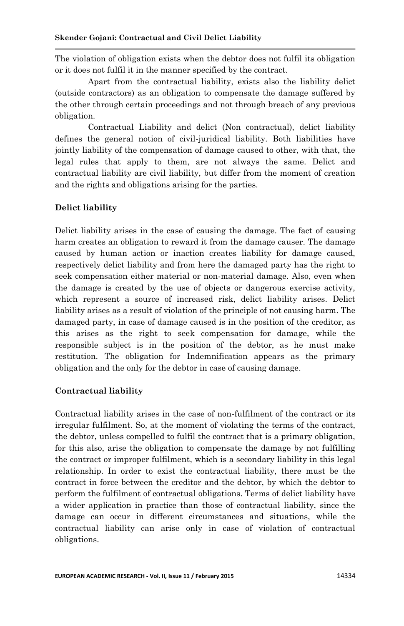The violation of obligation exists when the debtor does not fulfil its obligation or it does not fulfil it in the manner specified by the contract.

Apart from the contractual liability, exists also the liability delict (outside contractors) as an obligation to compensate the damage suffered by the other through certain proceedings and not through breach of any previous obligation.

Contractual Liability and delict (Non contractual), delict liability defines the general notion of civil-juridical liability. Both liabilities have jointly liability of the compensation of damage caused to other, with that, the legal rules that apply to them, are not always the same. Delict and contractual liability are civil liability, but differ from the moment of creation and the rights and obligations arising for the parties.

## **Delict liability**

Delict liability arises in the case of causing the damage. The fact of causing harm creates an obligation to reward it from the damage causer. The damage caused by human action or inaction creates liability for damage caused, respectively delict liability and from here the damaged party has the right to seek compensation either material or non-material damage. Also, even when the damage is created by the use of objects or dangerous exercise activity, which represent a source of increased risk, delict liability arises. Delict liability arises as a result of violation of the principle of not causing harm. The damaged party, in case of damage caused is in the position of the creditor, as this arises as the right to seek compensation for damage, while the responsible subject is in the position of the debtor, as he must make restitution. The obligation for Indemnification appears as the primary obligation and the only for the debtor in case of causing damage.

## **Contractual liability**

Contractual liability arises in the case of non-fulfilment of the contract or its irregular fulfilment. So, at the moment of violating the terms of the contract, the debtor, unless compelled to fulfil the contract that is a primary obligation, for this also, arise the obligation to compensate the damage by not fulfilling the contract or improper fulfilment, which is a secondary liability in this legal relationship. In order to exist the contractual liability, there must be the contract in force between the creditor and the debtor, by which the debtor to perform the fulfilment of contractual obligations. Terms of delict liability have a wider application in practice than those of contractual liability, since the damage can occur in different circumstances and situations, while the contractual liability can arise only in case of violation of contractual obligations.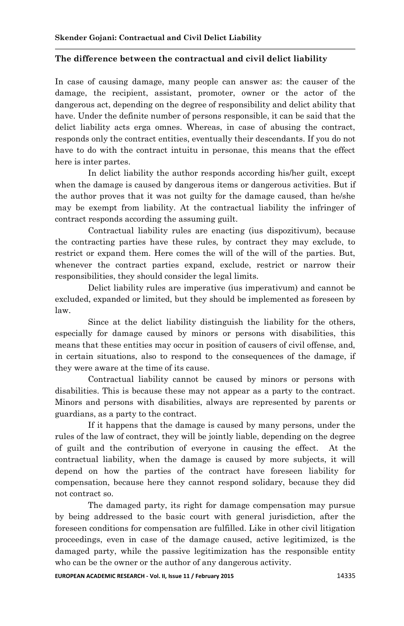## **The difference between the contractual and civil delict liability**

In case of causing damage, many people can answer as: the causer of the damage, the recipient, assistant, promoter, owner or the actor of the dangerous act, depending on the degree of responsibility and delict ability that have. Under the definite number of persons responsible, it can be said that the delict liability acts erga omnes. Whereas, in case of abusing the contract, responds only the contract entities, eventually their descendants. If you do not have to do with the contract intuitu in personae, this means that the effect here is inter partes.

In delict liability the author responds according his/her guilt, except when the damage is caused by dangerous items or dangerous activities. But if the author proves that it was not guilty for the damage caused, than he/she may be exempt from liability. At the contractual liability the infringer of contract responds according the assuming guilt.

Contractual liability rules are enacting (ius dispozitivum), because the contracting parties have these rules, by contract they may exclude, to restrict or expand them. Here comes the will of the will of the parties. But, whenever the contract parties expand, exclude, restrict or narrow their responsibilities, they should consider the legal limits.

Delict liability rules are imperative (ius imperativum) and cannot be excluded, expanded or limited, but they should be implemented as foreseen by law.

Since at the delict liability distinguish the liability for the others, especially for damage caused by minors or persons with disabilities, this means that these entities may occur in position of causers of civil offense, and, in certain situations, also to respond to the consequences of the damage, if they were aware at the time of its cause.

Contractual liability cannot be caused by minors or persons with disabilities. This is because these may not appear as a party to the contract. Minors and persons with disabilities, always are represented by parents or guardians, as a party to the contract.

If it happens that the damage is caused by many persons, under the rules of the law of contract, they will be jointly liable, depending on the degree of guilt and the contribution of everyone in causing the effect. At the contractual liability, when the damage is caused by more subjects, it will depend on how the parties of the contract have foreseen liability for compensation, because here they cannot respond solidary, because they did not contract so.

The damaged party, its right for damage compensation may pursue by being addressed to the basic court with general jurisdiction, after the foreseen conditions for compensation are fulfilled. Like in other civil litigation proceedings, even in case of the damage caused, active legitimized, is the damaged party, while the passive legitimization has the responsible entity who can be the owner or the author of any dangerous activity.

**EUROPEAN ACADEMIC RESEARCH - Vol. II, Issue 11 / February 2015** 14335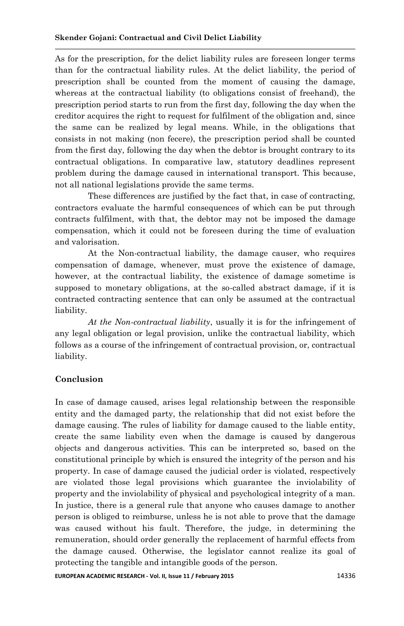As for the prescription, for the delict liability rules are foreseen longer terms than for the contractual liability rules. At the delict liability, the period of prescription shall be counted from the moment of causing the damage, whereas at the contractual liability (to obligations consist of freehand), the prescription period starts to run from the first day, following the day when the creditor acquires the right to request for fulfilment of the obligation and, since the same can be realized by legal means. While, in the obligations that consists in not making (non fecere), the prescription period shall be counted from the first day, following the day when the debtor is brought contrary to its contractual obligations. In comparative law, statutory deadlines represent problem during the damage caused in international transport. This because, not all national legislations provide the same terms.

These differences are justified by the fact that, in case of contracting, contractors evaluate the harmful consequences of which can be put through contracts fulfilment, with that, the debtor may not be imposed the damage compensation, which it could not be foreseen during the time of evaluation and valorisation.

At the Non-contractual liability, the damage causer, who requires compensation of damage, whenever, must prove the existence of damage, however, at the contractual liability, the existence of damage sometime is supposed to monetary obligations, at the so-called abstract damage, if it is contracted contracting sentence that can only be assumed at the contractual liability.

*At the Non-contractual liability*, usually it is for the infringement of any legal obligation or legal provision, unlike the contractual liability, which follows as a course of the infringement of contractual provision, or, contractual liability.

## **Conclusion**

In case of damage caused, arises legal relationship between the responsible entity and the damaged party, the relationship that did not exist before the damage causing. The rules of liability for damage caused to the liable entity, create the same liability even when the damage is caused by dangerous objects and dangerous activities. This can be interpreted so, based on the constitutional principle by which is ensured the integrity of the person and his property. In case of damage caused the judicial order is violated, respectively are violated those legal provisions which guarantee the inviolability of property and the inviolability of physical and psychological integrity of a man. In justice, there is a general rule that anyone who causes damage to another person is obliged to reimburse, unless he is not able to prove that the damage was caused without his fault. Therefore, the judge, in determining the remuneration, should order generally the replacement of harmful effects from the damage caused. Otherwise, the legislator cannot realize its goal of protecting the tangible and intangible goods of the person.

**EUROPEAN ACADEMIC RESEARCH - Vol. II, Issue 11 / February 2015** 14336